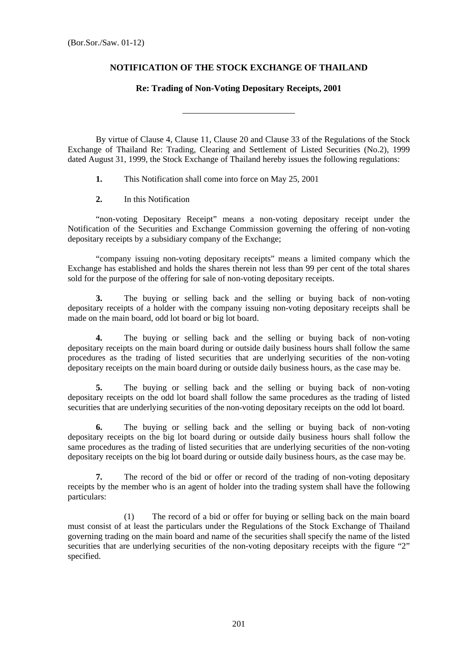## **NOTIFICATION OF THE STOCK EXCHANGE OF THAILAND**

## **Re: Trading of Non-Voting Depositary Receipts, 2001**

By virtue of Clause 4, Clause 11, Clause 20 and Clause 33 of the Regulations of the Stock Exchange of Thailand Re: Trading, Clearing and Settlement of Listed Securities (No.2), 1999 dated August 31, 1999, the Stock Exchange of Thailand hereby issues the following regulations:

**1.** This Notification shall come into force on May 25, 2001

**2.** In this Notification

 "non-voting Depositary Receipt" means a non-voting depositary receipt under the Notification of the Securities and Exchange Commission governing the offering of non-voting depositary receipts by a subsidiary company of the Exchange;

 "company issuing non-voting depositary receipts" means a limited company which the Exchange has established and holds the shares therein not less than 99 per cent of the total shares sold for the purpose of the offering for sale of non-voting depositary receipts.

**3.** The buying or selling back and the selling or buying back of non-voting depositary receipts of a holder with the company issuing non-voting depositary receipts shall be made on the main board, odd lot board or big lot board.

**4.** The buying or selling back and the selling or buying back of non-voting depositary receipts on the main board during or outside daily business hours shall follow the same procedures as the trading of listed securities that are underlying securities of the non-voting depositary receipts on the main board during or outside daily business hours, as the case may be.

**5.** The buying or selling back and the selling or buying back of non-voting depositary receipts on the odd lot board shall follow the same procedures as the trading of listed securities that are underlying securities of the non-voting depositary receipts on the odd lot board.

**6.** The buying or selling back and the selling or buying back of non-voting depositary receipts on the big lot board during or outside daily business hours shall follow the same procedures as the trading of listed securities that are underlying securities of the non-voting depositary receipts on the big lot board during or outside daily business hours, as the case may be.

**7.** The record of the bid or offer or record of the trading of non-voting depositary receipts by the member who is an agent of holder into the trading system shall have the following particulars:

 (1) The record of a bid or offer for buying or selling back on the main board must consist of at least the particulars under the Regulations of the Stock Exchange of Thailand governing trading on the main board and name of the securities shall specify the name of the listed securities that are underlying securities of the non-voting depositary receipts with the figure "2" specified.